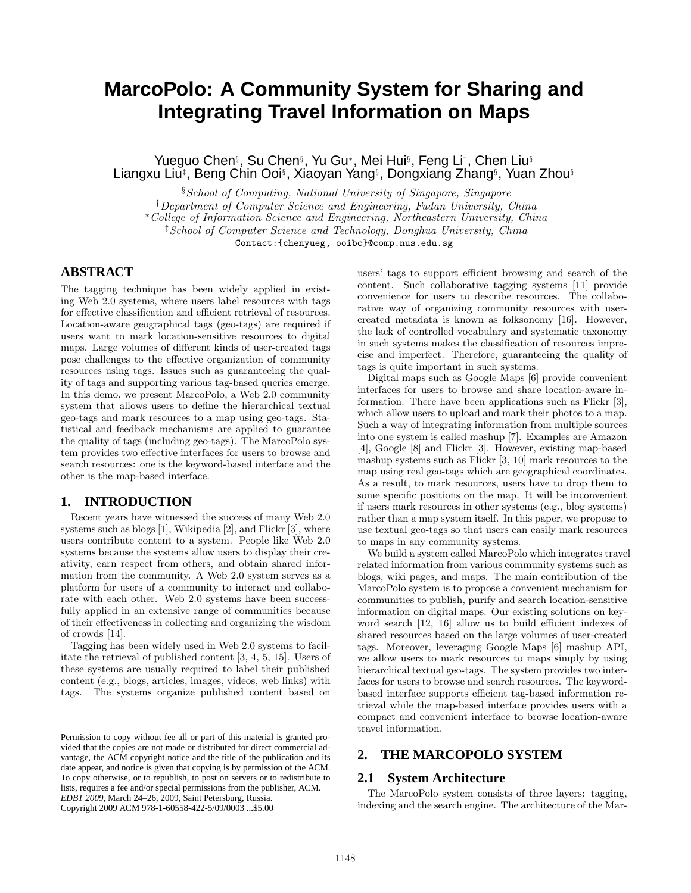# **MarcoPolo: A Community System for Sharing and Integrating Travel Information on Maps**

Yueguo Chen§, Su Chen§, Yu Gu∗, Mei Hui§, Feng Li†, Chen Liu§ Liangxu Liū‡, Beng Chin Ooi§, Xiaoyan Yang§, Dongxiang Zhang§, Yuan Zhou§

§School of Computing, National University of Singapore, Singapore †Department of Computer Science and Engineering, Fudan University, China <sup>∗</sup>College of Information Science and Engineering, Northeastern University, China ‡School of Computer Science and Technology, Donghua University, China Contact:{chenyueg, ooibc}@comp.nus.edu.sg

# **ABSTRACT**

The tagging technique has been widely applied in existing Web 2.0 systems, where users label resources with tags for effective classification and efficient retrieval of resources. Location-aware geographical tags (geo-tags) are required if users want to mark location-sensitive resources to digital maps. Large volumes of different kinds of user-created tags pose challenges to the effective organization of community resources using tags. Issues such as guaranteeing the quality of tags and supporting various tag-based queries emerge. In this demo, we present MarcoPolo, a Web 2.0 community system that allows users to define the hierarchical textual geo-tags and mark resources to a map using geo-tags. Statistical and feedback mechanisms are applied to guarantee the quality of tags (including geo-tags). The MarcoPolo system provides two effective interfaces for users to browse and search resources: one is the keyword-based interface and the other is the map-based interface.

# **1. INTRODUCTION**

Recent years have witnessed the success of many Web 2.0 systems such as blogs [1], Wikipedia [2], and Flickr [3], where users contribute content to a system. People like Web 2.0 systems because the systems allow users to display their creativity, earn respect from others, and obtain shared information from the community. A Web 2.0 system serves as a platform for users of a community to interact and collaborate with each other. Web 2.0 systems have been successfully applied in an extensive range of communities because of their effectiveness in collecting and organizing the wisdom of crowds [14].

Tagging has been widely used in Web 2.0 systems to facilitate the retrieval of published content [3, 4, 5, 15]. Users of these systems are usually required to label their published content (e.g., blogs, articles, images, videos, web links) with tags. The systems organize published content based on

users' tags to support efficient browsing and search of the content. Such collaborative tagging systems [11] provide convenience for users to describe resources. The collaborative way of organizing community resources with usercreated metadata is known as folksonomy [16]. However, the lack of controlled vocabulary and systematic taxonomy in such systems makes the classification of resources imprecise and imperfect. Therefore, guaranteeing the quality of tags is quite important in such systems.

Digital maps such as Google Maps [6] provide convenient interfaces for users to browse and share location-aware information. There have been applications such as Flickr [3], which allow users to upload and mark their photos to a map. Such a way of integrating information from multiple sources into one system is called mashup [7]. Examples are Amazon [4], Google [8] and Flickr [3]. However, existing map-based mashup systems such as Flickr [3, 10] mark resources to the map using real geo-tags which are geographical coordinates. As a result, to mark resources, users have to drop them to some specific positions on the map. It will be inconvenient if users mark resources in other systems (e.g., blog systems) rather than a map system itself. In this paper, we propose to use textual geo-tags so that users can easily mark resources to maps in any community systems.

We build a system called MarcoPolo which integrates travel related information from various community systems such as blogs, wiki pages, and maps. The main contribution of the MarcoPolo system is to propose a convenient mechanism for communities to publish, purify and search location-sensitive information on digital maps. Our existing solutions on keyword search [12, 16] allow us to build efficient indexes of shared resources based on the large volumes of user-created tags. Moreover, leveraging Google Maps [6] mashup API, we allow users to mark resources to maps simply by using hierarchical textual geo-tags. The system provides two interfaces for users to browse and search resources. The keywordbased interface supports efficient tag-based information retrieval while the map-based interface provides users with a compact and convenient interface to browse location-aware travel information.

## **2. THE MARCOPOLO SYSTEM**

## **2.1 System Architecture**

The MarcoPolo system consists of three layers: tagging, indexing and the search engine. The architecture of the Mar-

Permission to copy without fee all or part of this material is granted provided that the copies are not made or distributed for direct commercial advantage, the ACM copyright notice and the title of the publication and its date appear, and notice is given that copying is by permission of the ACM. To copy otherwise, or to republish, to post on servers or to redistribute to lists, requires a fee and/or special permissions from the publisher, ACM. *EDBT 2009*, March 24–26, 2009, Saint Petersburg, Russia. Copyright 2009 ACM 978-1-60558-422-5/09/0003 ...\$5.00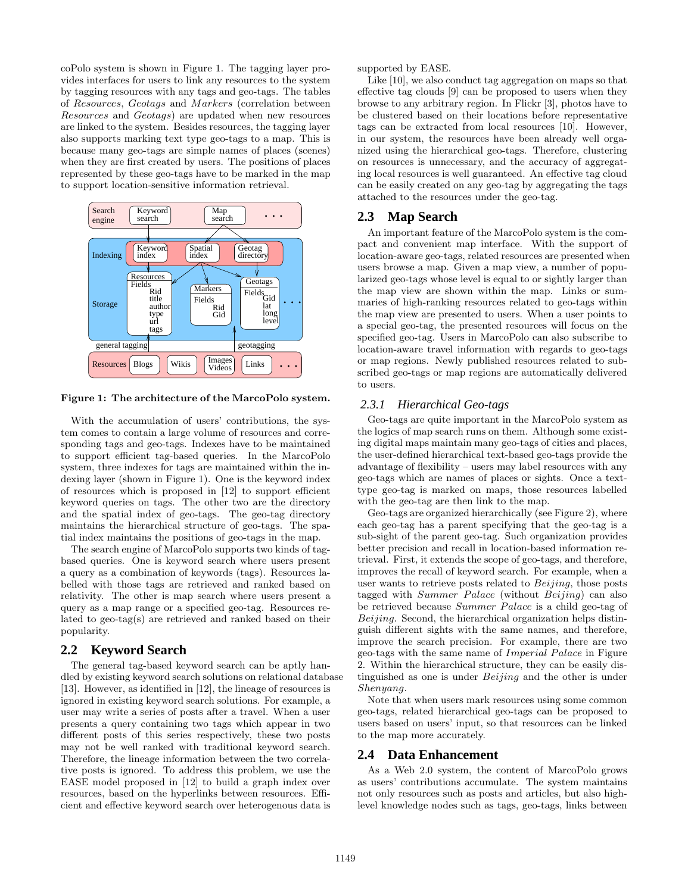coPolo system is shown in Figure 1. The tagging layer provides interfaces for users to link any resources to the system by tagging resources with any tags and geo-tags. The tables of Resources, Geotags and Markers (correlation between Resources and Geotags) are updated when new resources are linked to the system. Besides resources, the tagging layer also supports marking text type geo-tags to a map. This is because many geo-tags are simple names of places (scenes) when they are first created by users. The positions of places represented by these geo-tags have to be marked in the map to support location-sensitive information retrieval.



Figure 1: The architecture of the MarcoPolo system.

With the accumulation of users' contributions, the system comes to contain a large volume of resources and corresponding tags and geo-tags. Indexes have to be maintained to support efficient tag-based queries. In the MarcoPolo system, three indexes for tags are maintained within the indexing layer (shown in Figure 1). One is the keyword index of resources which is proposed in [12] to support efficient keyword queries on tags. The other two are the directory and the spatial index of geo-tags. The geo-tag directory maintains the hierarchical structure of geo-tags. The spatial index maintains the positions of geo-tags in the map.

The search engine of MarcoPolo supports two kinds of tagbased queries. One is keyword search where users present a query as a combination of keywords (tags). Resources labelled with those tags are retrieved and ranked based on relativity. The other is map search where users present a query as a map range or a specified geo-tag. Resources related to geo-tag(s) are retrieved and ranked based on their popularity.

## **2.2 Keyword Search**

The general tag-based keyword search can be aptly handled by existing keyword search solutions on relational database [13]. However, as identified in [12], the lineage of resources is ignored in existing keyword search solutions. For example, a user may write a series of posts after a travel. When a user presents a query containing two tags which appear in two different posts of this series respectively, these two posts may not be well ranked with traditional keyword search. Therefore, the lineage information between the two correlative posts is ignored. To address this problem, we use the EASE model proposed in [12] to build a graph index over resources, based on the hyperlinks between resources. Efficient and effective keyword search over heterogenous data is

supported by EASE.

Like [10], we also conduct tag aggregation on maps so that effective tag clouds [9] can be proposed to users when they browse to any arbitrary region. In Flickr [3], photos have to be clustered based on their locations before representative tags can be extracted from local resources [10]. However, in our system, the resources have been already well organized using the hierarchical geo-tags. Therefore, clustering on resources is unnecessary, and the accuracy of aggregating local resources is well guaranteed. An effective tag cloud can be easily created on any geo-tag by aggregating the tags attached to the resources under the geo-tag.

## **2.3 Map Search**

An important feature of the MarcoPolo system is the compact and convenient map interface. With the support of location-aware geo-tags, related resources are presented when users browse a map. Given a map view, a number of popularized geo-tags whose level is equal to or sightly larger than the map view are shown within the map. Links or summaries of high-ranking resources related to geo-tags within the map view are presented to users. When a user points to a special geo-tag, the presented resources will focus on the specified geo-tag. Users in MarcoPolo can also subscribe to location-aware travel information with regards to geo-tags or map regions. Newly published resources related to subscribed geo-tags or map regions are automatically delivered to users.

#### *2.3.1 Hierarchical Geo-tags*

Geo-tags are quite important in the MarcoPolo system as the logics of map search runs on them. Although some existing digital maps maintain many geo-tags of cities and places, the user-defined hierarchical text-based geo-tags provide the advantage of flexibility – users may label resources with any geo-tags which are names of places or sights. Once a texttype geo-tag is marked on maps, those resources labelled with the geo-tag are then link to the map.

Geo-tags are organized hierarchically (see Figure 2), where each geo-tag has a parent specifying that the geo-tag is a sub-sight of the parent geo-tag. Such organization provides better precision and recall in location-based information retrieval. First, it extends the scope of geo-tags, and therefore, improves the recall of keyword search. For example, when a user wants to retrieve posts related to Beijing, those posts tagged with Summer Palace (without Beijing) can also be retrieved because Summer Palace is a child geo-tag of Beijing. Second, the hierarchical organization helps distinguish different sights with the same names, and therefore, improve the search precision. For example, there are two geo-tags with the same name of Imperial Palace in Figure 2. Within the hierarchical structure, they can be easily distinguished as one is under Beijing and the other is under Shenyang.

Note that when users mark resources using some common geo-tags, related hierarchical geo-tags can be proposed to users based on users' input, so that resources can be linked to the map more accurately.

#### **2.4 Data Enhancement**

As a Web 2.0 system, the content of MarcoPolo grows as users' contributions accumulate. The system maintains not only resources such as posts and articles, but also highlevel knowledge nodes such as tags, geo-tags, links between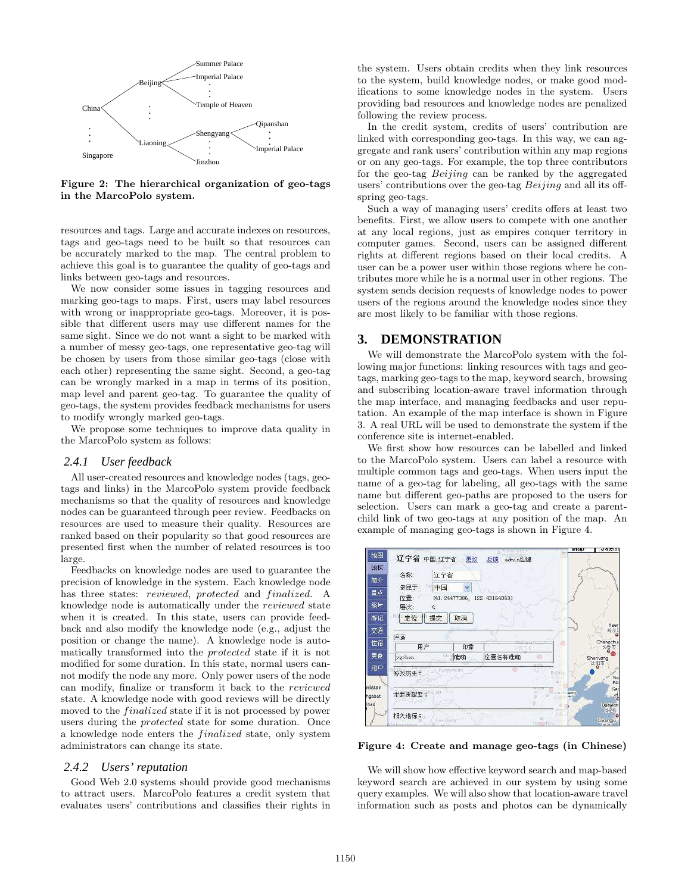

Figure 2: The hierarchical organization of geo-tags in the MarcoPolo system.

resources and tags. Large and accurate indexes on resources, tags and geo-tags need to be built so that resources can be accurately marked to the map. The central problem to achieve this goal is to guarantee the quality of geo-tags and links between geo-tags and resources.

We now consider some issues in tagging resources and marking geo-tags to maps. First, users may label resources with wrong or inappropriate geo-tags. Moreover, it is possible that different users may use different names for the same sight. Since we do not want a sight to be marked with a number of messy geo-tags, one representative geo-tag will be chosen by users from those similar geo-tags (close with each other) representing the same sight. Second, a geo-tag can be wrongly marked in a map in terms of its position, map level and parent geo-tag. To guarantee the quality of geo-tags, the system provides feedback mechanisms for users to modify wrongly marked geo-tags.

We propose some techniques to improve data quality in the MarcoPolo system as follows:

#### *2.4.1 User feedback*

All user-created resources and knowledge nodes (tags, geotags and links) in the MarcoPolo system provide feedback mechanisms so that the quality of resources and knowledge nodes can be guaranteed through peer review. Feedbacks on resources are used to measure their quality. Resources are ranked based on their popularity so that good resources are presented first when the number of related resources is too large.

Feedbacks on knowledge nodes are used to guarantee the precision of knowledge in the system. Each knowledge node has three states: reviewed, protected and finalized. A knowledge node is automatically under the reviewed state when it is created. In this state, users can provide feedback and also modify the knowledge node (e.g., adjust the position or change the name). A knowledge node is automatically transformed into the protected state if it is not modified for some duration. In this state, normal users cannot modify the node any more. Only power users of the node can modify, finalize or transform it back to the reviewed state. A knowledge node with good reviews will be directly moved to the *finalized* state if it is not processed by power users during the protected state for some duration. Once a knowledge node enters the finalized state, only system administrators can change its state.

#### *2.4.2 Users' reputation*

Good Web 2.0 systems should provide good mechanisms to attract users. MarcoPolo features a credit system that evaluates users' contributions and classifies their rights in the system. Users obtain credits when they link resources to the system, build knowledge nodes, or make good modifications to some knowledge nodes in the system. Users providing bad resources and knowledge nodes are penalized following the review process.

In the credit system, credits of users' contribution are linked with corresponding geo-tags. In this way, we can aggregate and rank users' contribution within any map regions or on any geo-tags. For example, the top three contributors for the geo-tag Beijing can be ranked by the aggregated users' contributions over the geo-tag Beijing and all its offspring geo-tags.

Such a way of managing users' credits offers at least two benefits. First, we allow users to compete with one another at any local regions, just as empires conquer territory in computer games. Second, users can be assigned different rights at different regions based on their local credits. A user can be a power user within those regions where he contributes more while he is a normal user in other regions. The system sends decision requests of knowledge nodes to power users of the regions around the knowledge nodes since they are most likely to be familiar with those regions.

## **3. DEMONSTRATION**

We will demonstrate the MarcoPolo system with the following major functions: linking resources with tags and geotags, marking geo-tags to the map, keyword search, browsing and subscribing location-aware travel information through the map interface, and managing feedbacks and user reputation. An example of the map interface is shown in Figure 3. A real URL will be used to demonstrate the system if the conference site is internet-enabled.

We first show how resources can be labelled and linked to the MarcoPolo system. Users can label a resource with multiple common tags and geo-tags. When users input the name of a geo-tag for labeling, all geo-tags with the same name but different geo-paths are proposed to the users for selection. Users can mark a geo-tag and create a parentchild link of two geo-tags at any position of the map. An example of managing geo-tags is shown in Figure 4.

|               |                                    | <b>CVOSIDITSK</b>             | тиар | <b>Odtem</b>    |
|---------------|------------------------------------|-------------------------------|------|-----------------|
| 地图            | 辽宁省:中国.辽宁省<br>更改                   | 反馈<br>admin创建                 |      |                 |
| 地标            |                                    |                               |      |                 |
| 简介            | 名称:<br>辽宁省                         |                               |      |                 |
|               | Ÿ<br>隶属于:<br>As<br>中国              |                               |      |                 |
| 景点            | 位置:<br>(41.24477386, 122.43164063) |                               |      |                 |
| 照片            | 层次:                                |                               |      |                 |
| 游记            | 定位<br>提交<br>取消                     |                               |      |                 |
| 交通            |                                    |                               |      | Haer<br>哈尔?     |
| 住宿            | 评语                                 |                               |      | Changchu        |
|               | 用户<br>印象                           |                               |      | 长春市             |
| 美食            | 雅 准确<br>ygchen                     | 位置名称准确<br>ø                   |      | Shenyang<br>沈阳市 |
| 用户            | Kyrovestan<br>修改历史:                | usofa<br>o<br>旧书书<br>Belling  |      | $\circ$         |
|               |                                    |                               |      | No<br>Ko        |
| nistan        | istan<br>主要贡献者:                    | o <sup>chilliarch l</sup> ang |      | Sec<br>석        |
| hgabat<br>had |                                    |                               |      | Daejeon         |
|               | 相关地标:                              | Ima:<br>防止                    |      | 대전              |
|               | Pashawar                           | hampthou                      |      | Gwangju         |

Figure 4: Create and manage geo-tags (in Chinese)

We will show how effective keyword search and map-based keyword search are achieved in our system by using some query examples. We will also show that location-aware travel information such as posts and photos can be dynamically